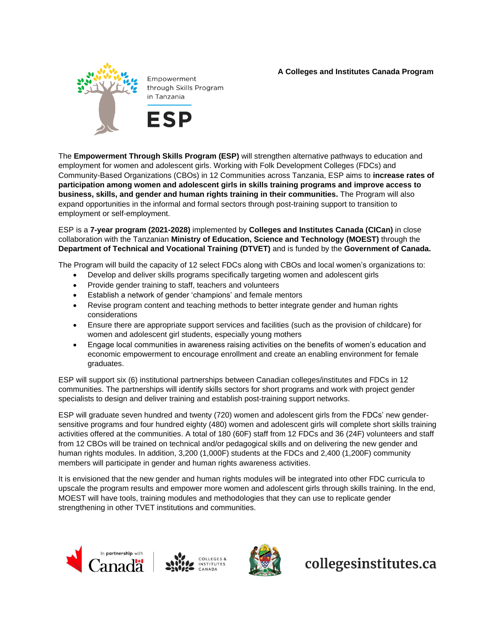## **A Colleges and Institutes Canada Program**



Empowerment through Skills Program in Tanzania

**ESP** 

The **Empowerment Through Skills Program (ESP)** will strengthen alternative pathways to education and employment for women and adolescent girls. Working with Folk Development Colleges (FDCs) and Community-Based Organizations (CBOs) in 12 Communities across Tanzania, ESP aims to **increase rates of participation among women and adolescent girls in skills training programs and improve access to business, skills, and gender and human rights training in their communities.** The Program will also expand opportunities in the informal and formal sectors through post-training support to transition to employment or self-employment.

ESP is a **7-year program (2021-2028)** implemented by **Colleges and Institutes Canada (CICan)** in close collaboration with the Tanzanian **Ministry of Education, Science and Technology (MOEST)** through the **Department of Technical and Vocational Training (DTVET)** and is funded by the **Government of Canada.** 

The Program will build the capacity of 12 select FDCs along with CBOs and local women's organizations to:

- Develop and deliver skills programs specifically targeting women and adolescent girls
- Provide gender training to staff, teachers and volunteers
- Establish a network of gender 'champions' and female mentors
- Revise program content and teaching methods to better integrate gender and human rights considerations
- Ensure there are appropriate support services and facilities (such as the provision of childcare) for women and adolescent girl students, especially young mothers
- Engage local communities in awareness raising activities on the benefits of women's education and economic empowerment to encourage enrollment and create an enabling environment for female graduates.

ESP will support six (6) institutional partnerships between Canadian colleges/institutes and FDCs in 12 communities. The partnerships will identify skills sectors for short programs and work with project gender specialists to design and deliver training and establish post-training support networks.

ESP will graduate seven hundred and twenty (720) women and adolescent girls from the FDCs' new gendersensitive programs and four hundred eighty (480) women and adolescent girls will complete short skills training activities offered at the communities. A total of 180 (60F) staff from 12 FDCs and 36 (24F) volunteers and staff from 12 CBOs will be trained on technical and/or pedagogical skills and on delivering the new gender and human rights modules. In addition, 3,200 (1,000F) students at the FDCs and 2,400 (1,200F) community members will participate in gender and human rights awareness activities.

It is envisioned that the new gender and human rights modules will be integrated into other FDC curricula to upscale the program results and empower more women and adolescent girls through skills training. In the end, MOEST will have tools, training modules and methodologies that they can use to replicate gender strengthening in other TVET institutions and communities.







collegesinstitutes.ca